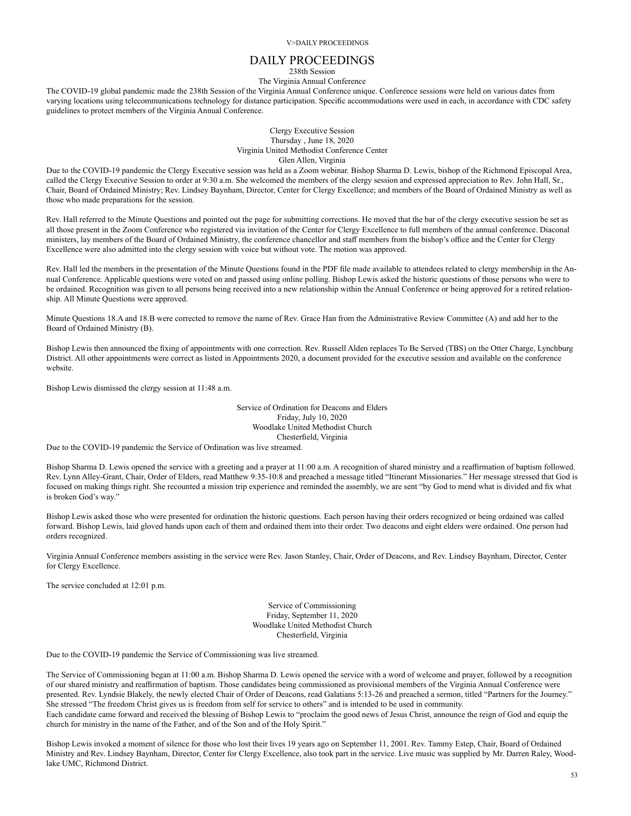# DAILY PROCEEDINGS

238th Session

The Virginia Annual Conference

The COVID-19 global pandemic made the 238th Session of the Virginia Annual Conference unique. Conference sessions were held on various dates from varying locations using telecommunications technology for distance participation. Specific accommodations were used in each, in accordance with CDC safety guidelines to protect members of the Virginia Annual Conference.

> Clergy Executive Session Thursday , June 18, 2020 Virginia United Methodist Conference Center Glen Allen, Virginia

Due to the COVID-19 pandemic the Clergy Executive session was held as a Zoom webinar. Bishop Sharma D. Lewis, bishop of the Richmond Episcopal Area, called the Clergy Executive Session to order at 9:30 a.m. She welcomed the members of the clergy session and expressed appreciation to Rev. John Hall, Sr., Chair, Board of Ordained Ministry; Rev. Lindsey Baynham, Director, Center for Clergy Excellence; and members of the Board of Ordained Ministry as well as those who made preparations for the session.

Rev. Hall referred to the Minute Questions and pointed out the page for submitting corrections. He moved that the bar of the clergy executive session be set as all those present in the Zoom Conference who registered via invitation of the Center for Clergy Excellence to full members of the annual conference. Diaconal ministers, lay members of the Board of Ordained Ministry, the conference chancellor and staff members from the bishop's office and the Center for Clergy Excellence were also admitted into the clergy session with voice but without vote. The motion was approved.

Rev. Hall led the members in the presentation of the Minute Questions found in the PDF file made available to attendees related to clergy membership in the Annual Conference. Applicable questions were voted on and passed using online polling. Bishop Lewis asked the historic questions of those persons who were to be ordained. Recognition was given to all persons being received into a new relationship within the Annual Conference or being approved for a retired relationship. All Minute Questions were approved.

Minute Questions 18.A and 18.B were corrected to remove the name of Rev. Grace Han from the Administrative Review Committee (A) and add her to the Board of Ordained Ministry (B).

Bishop Lewis then announced the fixing of appointments with one correction. Rev. Russell Alden replaces To Be Served (TBS) on the Otter Charge, Lynchburg District. All other appointments were correct as listed in Appointments 2020, a document provided for the executive session and available on the conference website.

Bishop Lewis dismissed the clergy session at 11:48 a.m.

Service of Ordination for Deacons and Elders Friday, July 10, 2020 Woodlake United Methodist Church Chesterfield, Virginia

Due to the COVID-19 pandemic the Service of Ordination was live streamed.

Bishop Sharma D. Lewis opened the service with a greeting and a prayer at 11:00 a.m. A recognition of shared ministry and a reaffirmation of baptism followed. Rev. Lynn Alley-Grant, Chair, Order of Elders, read Matthew 9:35-10:8 and preached a message titled "Itinerant Missionaries." Her message stressed that God is focused on making things right. She recounted a mission trip experience and reminded the assembly, we are sent "by God to mend what is divided and fix what is broken God's way."

Bishop Lewis asked those who were presented for ordination the historic questions. Each person having their orders recognized or being ordained was called forward. Bishop Lewis, laid gloved hands upon each of them and ordained them into their order. Two deacons and eight elders were ordained. One person had orders recognized.

Virginia Annual Conference members assisting in the service were Rev. Jason Stanley, Chair, Order of Deacons, and Rev. Lindsey Baynham, Director, Center for Clergy Excellence.

The service concluded at 12:01 p.m.

Service of Commissioning Friday, September 11, 2020 Woodlake United Methodist Church Chesterfield, Virginia

Due to the COVID-19 pandemic the Service of Commissioning was live streamed.

The Service of Commissioning began at 11:00 a.m. Bishop Sharma D. Lewis opened the service with a word of welcome and prayer, followed by a recognition of our shared ministry and reaffirmation of baptism. Those candidates being commissioned as provisional members of the Virginia Annual Conference were presented. Rev. Lyndsie Blakely, the newly elected Chair of Order of Deacons, read Galatians 5:13-26 and preached a sermon, titled "Partners for the Journey." She stressed "The freedom Christ gives us is freedom from self for service to others" and is intended to be used in community. Each candidate came forward and received the blessing of Bishop Lewis to "proclaim the good news of Jesus Christ, announce the reign of God and equip the church for ministry in the name of the Father, and of the Son and of the Holy Spirit."

Bishop Lewis invoked a moment of silence for those who lost their lives 19 years ago on September 11, 2001. Rev. Tammy Estep, Chair, Board of Ordained Ministry and Rev. Lindsey Baynham, Director, Center for Clergy Excellence, also took part in the service. Live music was supplied by Mr. Darren Raley, Woodlake UMC, Richmond District.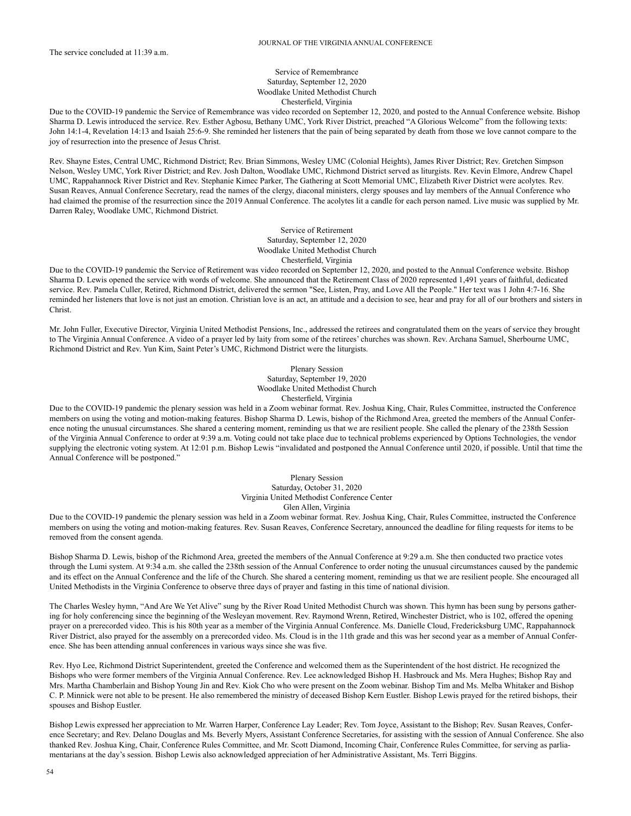## Service of Remembrance Saturday, September 12, 2020 Woodlake United Methodist Church Chesterfield, Virginia

Due to the COVID-19 pandemic the Service of Remembrance was video recorded on September 12, 2020, and posted to the Annual Conference website. Bishop Sharma D. Lewis introduced the service. Rev. Esther Agbosu, Bethany UMC, York River District, preached "A Glorious Welcome" from the following texts: John 14:1-4, Revelation 14:13 and Isaiah 25:6-9. She reminded her listeners that the pain of being separated by death from those we love cannot compare to the joy of resurrection into the presence of Jesus Christ.

Rev. Shayne Estes, Central UMC, Richmond District; Rev. Brian Simmons, Wesley UMC (Colonial Heights), James River District; Rev. Gretchen Simpson Nelson, Wesley UMC, York River District; and Rev. Josh Dalton, Woodlake UMC, Richmond District served as liturgists. Rev. Kevin Elmore, Andrew Chapel UMC, Rappahannock River District and Rev. Stephanie Kimec Parker, The Gathering at Scott Memorial UMC, Elizabeth River District were acolytes. Rev. Susan Reaves, Annual Conference Secretary, read the names of the clergy, diaconal ministers, clergy spouses and lay members of the Annual Conference who had claimed the promise of the resurrection since the 2019 Annual Conference. The acolytes lit a candle for each person named. Live music was supplied by Mr. Darren Raley, Woodlake UMC, Richmond District.

> Service of Retirement Saturday, September 12, 2020 Woodlake United Methodist Church Chesterfield, Virginia

Due to the COVID-19 pandemic the Service of Retirement was video recorded on September 12, 2020, and posted to the Annual Conference website. Bishop Sharma D. Lewis opened the service with words of welcome. She announced that the Retirement Class of 2020 represented 1,491 years of faithful, dedicated service. Rev. Pamela Culler, Retired, Richmond District, delivered the sermon "See, Listen, Pray, and Love All the People." Her text was 1 John 4:7-16. She reminded her listeners that love is not just an emotion. Christian love is an act, an attitude and a decision to see, hear and pray for all of our brothers and sisters in Christ.

Mr. John Fuller, Executive Director, Virginia United Methodist Pensions, Inc., addressed the retirees and congratulated them on the years of service they brought to The Virginia Annual Conference. A video of a prayer led by laity from some of the retirees' churches was shown. Rev. Archana Samuel, Sherbourne UMC, Richmond District and Rev. Yun Kim, Saint Peter's UMC, Richmond District were the liturgists.

> Plenary Session Saturday, September 19, 2020 Woodlake United Methodist Church Chesterfield, Virginia

Due to the COVID-19 pandemic the plenary session was held in a Zoom webinar format. Rev. Joshua King, Chair, Rules Committee, instructed the Conference members on using the voting and motion-making features. Bishop Sharma D. Lewis, bishop of the Richmond Area, greeted the members of the Annual Conference noting the unusual circumstances. She shared a centering moment, reminding us that we are resilient people. She called the plenary of the 238th Session of the Virginia Annual Conference to order at 9:39 a.m. Voting could not take place due to technical problems experienced by Options Technologies, the vendor supplying the electronic voting system. At 12:01 p.m. Bishop Lewis "invalidated and postponed the Annual Conference until 2020, if possible. Until that time the Annual Conference will be postponed."

> Plenary Session Saturday, October 31, 2020 Virginia United Methodist Conference Center Glen Allen, Virginia

Due to the COVID-19 pandemic the plenary session was held in a Zoom webinar format. Rev. Joshua King, Chair, Rules Committee, instructed the Conference members on using the voting and motion-making features. Rev. Susan Reaves, Conference Secretary, announced the deadline for filing requests for items to be removed from the consent agenda.

Bishop Sharma D. Lewis, bishop of the Richmond Area, greeted the members of the Annual Conference at 9:29 a.m. She then conducted two practice votes through the Lumi system. At 9:34 a.m. she called the 238th session of the Annual Conference to order noting the unusual circumstances caused by the pandemic and its effect on the Annual Conference and the life of the Church. She shared a centering moment, reminding us that we are resilient people. She encouraged all United Methodists in the Virginia Conference to observe three days of prayer and fasting in this time of national division.

The Charles Wesley hymn, "And Are We Yet Alive" sung by the River Road United Methodist Church was shown. This hymn has been sung by persons gathering for holy conferencing since the beginning of the Wesleyan movement. Rev. Raymond Wrenn, Retired, Winchester District, who is 102, offered the opening prayer on a prerecorded video. This is his 80th year as a member of the Virginia Annual Conference. Ms. Danielle Cloud, Fredericksburg UMC, Rappahannock River District, also prayed for the assembly on a prerecorded video. Ms. Cloud is in the 11th grade and this was her second year as a member of Annual Conference. She has been attending annual conferences in various ways since she was five.

Rev. Hyo Lee, Richmond District Superintendent, greeted the Conference and welcomed them as the Superintendent of the host district. He recognized the Bishops who were former members of the Virginia Annual Conference. Rev. Lee acknowledged Bishop H. Hasbrouck and Ms. Mera Hughes; Bishop Ray and Mrs. Martha Chamberlain and Bishop Young Jin and Rev. Kiok Cho who were present on the Zoom webinar. Bishop Tim and Ms. Melba Whitaker and Bishop C. P. Minnick were not able to be present. He also remembered the ministry of deceased Bishop Kern Eustler. Bishop Lewis prayed for the retired bishops, their spouses and Bishop Eustler.

Bishop Lewis expressed her appreciation to Mr. Warren Harper, Conference Lay Leader; Rev. Tom Joyce, Assistant to the Bishop; Rev. Susan Reaves, Conference Secretary; and Rev. Delano Douglas and Ms. Beverly Myers, Assistant Conference Secretaries, for assisting with the session of Annual Conference. She also thanked Rev. Joshua King, Chair, Conference Rules Committee, and Mr. Scott Diamond, Incoming Chair, Conference Rules Committee, for serving as parliamentarians at the day's session. Bishop Lewis also acknowledged appreciation of her Administrative Assistant, Ms. Terri Biggins.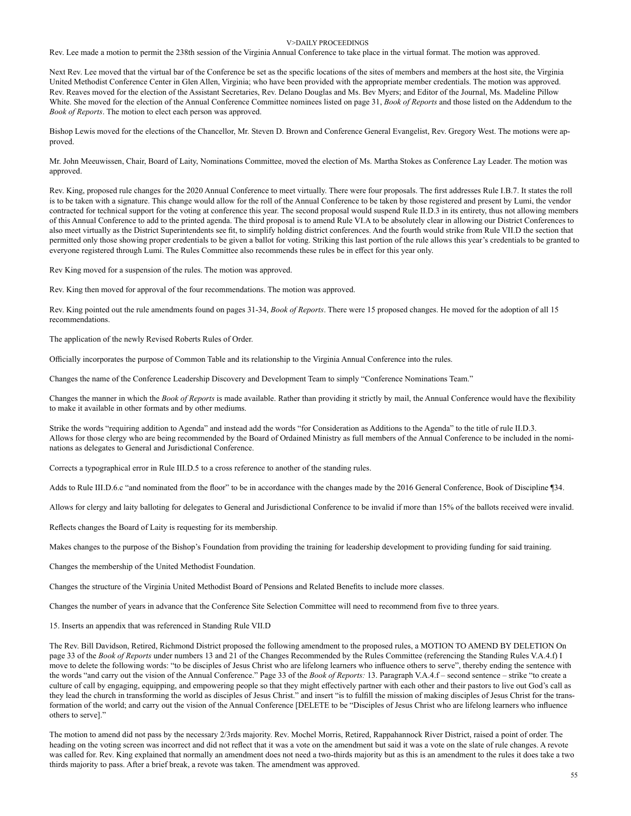#### V>DAILY PROCEEDINGS

Rev. Lee made a motion to permit the 238th session of the Virginia Annual Conference to take place in the virtual format. The motion was approved.

Next Rev. Lee moved that the virtual bar of the Conference be set as the specific locations of the sites of members and members at the host site, the Virginia United Methodist Conference Center in Glen Allen, Virginia; who have been provided with the appropriate member credentials. The motion was approved. Rev. Reaves moved for the election of the Assistant Secretaries, Rev. Delano Douglas and Ms. Bev Myers; and Editor of the Journal, Ms. Madeline Pillow White. She moved for the election of the Annual Conference Committee nominees listed on page 31, *Book of Reports* and those listed on the Addendum to the *Book of Reports*. The motion to elect each person was approved.

Bishop Lewis moved for the elections of the Chancellor, Mr. Steven D. Brown and Conference General Evangelist, Rev. Gregory West. The motions were approved.

Mr. John Meeuwissen, Chair, Board of Laity, Nominations Committee, moved the election of Ms. Martha Stokes as Conference Lay Leader. The motion was approved.

Rev. King, proposed rule changes for the 2020 Annual Conference to meet virtually. There were four proposals. The first addresses Rule I.B.7. It states the roll is to be taken with a signature. This change would allow for the roll of the Annual Conference to be taken by those registered and present by Lumi, the vendor contracted for technical support for the voting at conference this year. The second proposal would suspend Rule II.D.3 in its entirety, thus not allowing members of this Annual Conference to add to the printed agenda. The third proposal is to amend Rule VI.A to be absolutely clear in allowing our District Conferences to also meet virtually as the District Superintendents see fit, to simplify holding district conferences. And the fourth would strike from Rule VII.D the section that permitted only those showing proper credentials to be given a ballot for voting. Striking this last portion of the rule allows this year's credentials to be granted to everyone registered through Lumi. The Rules Committee also recommends these rules be in effect for this year only.

Rev King moved for a suspension of the rules. The motion was approved.

Rev. King then moved for approval of the four recommendations. The motion was approved.

Rev. King pointed out the rule amendments found on pages 31-34, *Book of Reports*. There were 15 proposed changes. He moved for the adoption of all 15 recommendations.

The application of the newly Revised Roberts Rules of Order.

Officially incorporates the purpose of Common Table and its relationship to the Virginia Annual Conference into the rules.

Changes the name of the Conference Leadership Discovery and Development Team to simply "Conference Nominations Team."

Changes the manner in which the *Book of Reports* is made available. Rather than providing it strictly by mail, the Annual Conference would have the flexibility to make it available in other formats and by other mediums.

Strike the words "requiring addition to Agenda" and instead add the words "for Consideration as Additions to the Agenda" to the title of rule II.D.3. Allows for those clergy who are being recommended by the Board of Ordained Ministry as full members of the Annual Conference to be included in the nominations as delegates to General and Jurisdictional Conference.

Corrects a typographical error in Rule III.D.5 to a cross reference to another of the standing rules.

Adds to Rule III.D.6.c "and nominated from the floor" to be in accordance with the changes made by the 2016 General Conference, Book of Discipline ¶34.

Allows for clergy and laity balloting for delegates to General and Jurisdictional Conference to be invalid if more than 15% of the ballots received were invalid.

Reflects changes the Board of Laity is requesting for its membership.

Makes changes to the purpose of the Bishop's Foundation from providing the training for leadership development to providing funding for said training.

Changes the membership of the United Methodist Foundation.

Changes the structure of the Virginia United Methodist Board of Pensions and Related Benefits to include more classes.

Changes the number of years in advance that the Conference Site Selection Committee will need to recommend from five to three years.

15. Inserts an appendix that was referenced in Standing Rule VII.D

The Rev. Bill Davidson, Retired, Richmond District proposed the following amendment to the proposed rules, a MOTION TO AMEND BY DELETION On page 33 of the *Book of Reports* under numbers 13 and 21 of the Changes Recommended by the Rules Committee (referencing the Standing Rules V.A.4.f) I move to delete the following words: "to be disciples of Jesus Christ who are lifelong learners who influence others to serve", thereby ending the sentence with the words "and carry out the vision of the Annual Conference." Page 33 of the *Book of Reports:* 13. Paragraph V.A.4.f – second sentence – strike "to create a culture of call by engaging, equipping, and empowering people so that they might effectively partner with each other and their pastors to live out God's call as they lead the church in transforming the world as disciples of Jesus Christ." and insert "is to fulfill the mission of making disciples of Jesus Christ for the transformation of the world; and carry out the vision of the Annual Conference [DELETE to be "Disciples of Jesus Christ who are lifelong learners who influence others to serve]."

The motion to amend did not pass by the necessary 2/3rds majority. Rev. Mochel Morris, Retired, Rappahannock River District, raised a point of order. The heading on the voting screen was incorrect and did not reflect that it was a vote on the amendment but said it was a vote on the slate of rule changes. A revote was called for. Rev. King explained that normally an amendment does not need a two-thirds majority but as this is an amendment to the rules it does take a two thirds majority to pass. After a brief break, a revote was taken. The amendment was approved.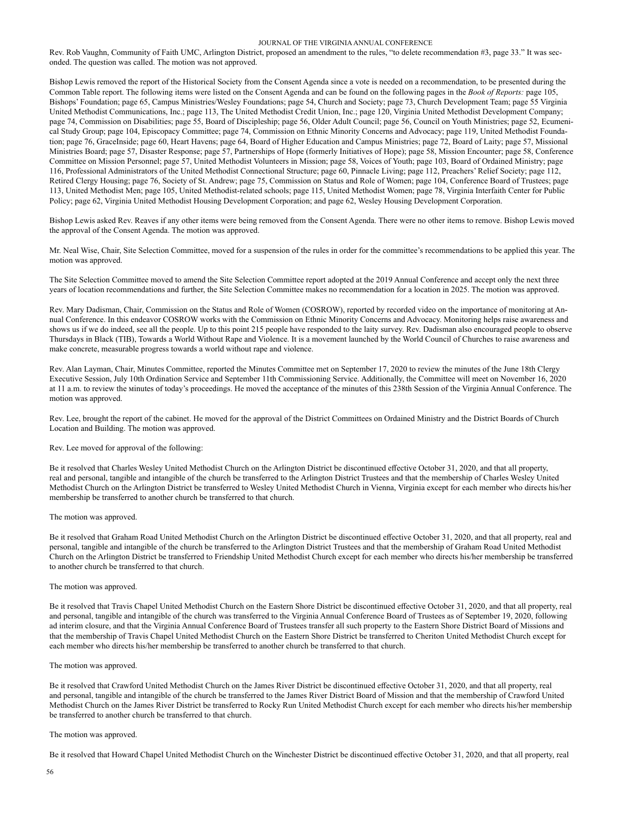#### JOURNAL OF THE VIRGINIA ANNUAL CONFERENCE

Rev. Rob Vaughn, Community of Faith UMC, Arlington District, proposed an amendment to the rules, "to delete recommendation #3, page 33." It was seconded. The question was called. The motion was not approved.

Bishop Lewis removed the report of the Historical Society from the Consent Agenda since a vote is needed on a recommendation, to be presented during the Common Table report. The following items were listed on the Consent Agenda and can be found on the following pages in the *Book of Reports:* page 105, Bishops' Foundation; page 65, Campus Ministries/Wesley Foundations; page 54, Church and Society; page 73, Church Development Team; page 55 Virginia United Methodist Communications, Inc.; page 113, The United Methodist Credit Union, Inc.; page 120, Virginia United Methodist Development Company; page 74, Commission on Disabilities; page 55, Board of Discipleship; page 56, Older Adult Council; page 56, Council on Youth Ministries; page 52, Ecumenical Study Group; page 104, Episcopacy Committee; page 74, Commission on Ethnic Minority Concerns and Advocacy; page 119, United Methodist Foundation; page 76, GraceInside; page 60, Heart Havens; page 64, Board of Higher Education and Campus Ministries; page 72, Board of Laity; page 57, Missional Ministries Board; page 57, Disaster Response; page 57, Partnerships of Hope (formerly Initiatives of Hope); page 58, Mission Encounter; page 58, Conference Committee on Mission Personnel; page 57, United Methodist Volunteers in Mission; page 58, Voices of Youth; page 103, Board of Ordained Ministry; page 116, Professional Administrators of the United Methodist Connectional Structure; page 60, Pinnacle Living; page 112, Preachers' Relief Society; page 112, Retired Clergy Housing; page 76, Society of St. Andrew; page 75, Commission on Status and Role of Women; page 104, Conference Board of Trustees; page 113, United Methodist Men; page 105, United Methodist-related schools; page 115, United Methodist Women; page 78, Virginia Interfaith Center for Public Policy; page 62, Virginia United Methodist Housing Development Corporation; and page 62, Wesley Housing Development Corporation.

Bishop Lewis asked Rev. Reaves if any other items were being removed from the Consent Agenda. There were no other items to remove. Bishop Lewis moved the approval of the Consent Agenda. The motion was approved.

Mr. Neal Wise, Chair, Site Selection Committee, moved for a suspension of the rules in order for the committee's recommendations to be applied this year. The motion was approved.

The Site Selection Committee moved to amend the Site Selection Committee report adopted at the 2019 Annual Conference and accept only the next three years of location recommendations and further, the Site Selection Committee makes no recommendation for a location in 2025. The motion was approved.

Rev. Mary Dadisman, Chair, Commission on the Status and Role of Women (COSROW), reported by recorded video on the importance of monitoring at Annual Conference. In this endeavor COSROW works with the Commission on Ethnic Minority Concerns and Advocacy. Monitoring helps raise awareness and shows us if we do indeed, see all the people. Up to this point 215 people have responded to the laity survey. Rev. Dadisman also encouraged people to observe Thursdays in Black (TIB), Towards a World Without Rape and Violence. It is a movement launched by the World Council of Churches to raise awareness and make concrete, measurable progress towards a world without rape and violence.

Rev. Alan Layman, Chair, Minutes Committee, reported the Minutes Committee met on September 17, 2020 to review the minutes of the June 18th Clergy Executive Session, July 10th Ordination Service and September 11th Commissioning Service. Additionally, the Committee will meet on November 16, 2020 at 11 a.m. to review the Minutes of today's proceedings. He moved the acceptance of the minutes of this 238th Session of the Virginia Annual Conference. The motion was approved.

Rev. Lee, brought the report of the cabinet. He moved for the approval of the District Committees on Ordained Ministry and the District Boards of Church Location and Building. The motion was approved.

## Rev. Lee moved for approval of the following:

Be it resolved that Charles Wesley United Methodist Church on the Arlington District be discontinued effective October 31, 2020, and that all property, real and personal, tangible and intangible of the church be transferred to the Arlington District Trustees and that the membership of Charles Wesley United Methodist Church on the Arlington District be transferred to Wesley United Methodist Church in Vienna, Virginia except for each member who directs his/her membership be transferred to another church be transferred to that church.

#### The motion was approved.

Be it resolved that Graham Road United Methodist Church on the Arlington District be discontinued effective October 31, 2020, and that all property, real and personal, tangible and intangible of the church be transferred to the Arlington District Trustees and that the membership of Graham Road United Methodist Church on the Arlington District be transferred to Friendship United Methodist Church except for each member who directs his/her membership be transferred to another church be transferred to that church.

#### The motion was approved.

Be it resolved that Travis Chapel United Methodist Church on the Eastern Shore District be discontinued effective October 31, 2020, and that all property, real and personal, tangible and intangible of the church was transferred to the Virginia Annual Conference Board of Trustees as of September 19, 2020, following ad interim closure, and that the Virginia Annual Conference Board of Trustees transfer all such property to the Eastern Shore District Board of Missions and that the membership of Travis Chapel United Methodist Church on the Eastern Shore District be transferred to Cheriton United Methodist Church except for each member who directs his/her membership be transferred to another church be transferred to that church.

#### The motion was approved.

Be it resolved that Crawford United Methodist Church on the James River District be discontinued effective October 31, 2020, and that all property, real and personal, tangible and intangible of the church be transferred to the James River District Board of Mission and that the membership of Crawford United Methodist Church on the James River District be transferred to Rocky Run United Methodist Church except for each member who directs his/her membership be transferred to another church be transferred to that church.

## The motion was approved.

Be it resolved that Howard Chapel United Methodist Church on the Winchester District be discontinued effective October 31, 2020, and that all property, real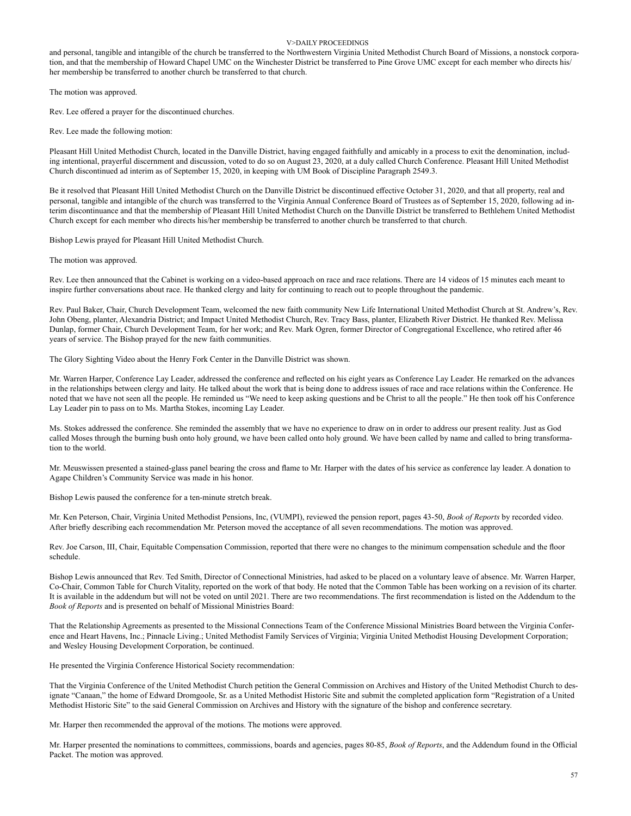### V>DAILY PROCEEDINGS

and personal, tangible and intangible of the church be transferred to the Northwestern Virginia United Methodist Church Board of Missions, a nonstock corporation, and that the membership of Howard Chapel UMC on the Winchester District be transferred to Pine Grove UMC except for each member who directs his/ her membership be transferred to another church be transferred to that church.

The motion was approved.

Rev. Lee offered a prayer for the discontinued churches.

Rev. Lee made the following motion:

Pleasant Hill United Methodist Church, located in the Danville District, having engaged faithfully and amicably in a process to exit the denomination, including intentional, prayerful discernment and discussion, voted to do so on August 23, 2020, at a duly called Church Conference. Pleasant Hill United Methodist Church discontinued ad interim as of September 15, 2020, in keeping with UM Book of Discipline Paragraph 2549.3.

Be it resolved that Pleasant Hill United Methodist Church on the Danville District be discontinued effective October 31, 2020, and that all property, real and personal, tangible and intangible of the church was transferred to the Virginia Annual Conference Board of Trustees as of September 15, 2020, following ad interim discontinuance and that the membership of Pleasant Hill United Methodist Church on the Danville District be transferred to Bethlehem United Methodist Church except for each member who directs his/her membership be transferred to another church be transferred to that church.

Bishop Lewis prayed for Pleasant Hill United Methodist Church.

The motion was approved.

Rev. Lee then announced that the Cabinet is working on a video-based approach on race and race relations. There are 14 videos of 15 minutes each meant to inspire further conversations about race. He thanked clergy and laity for continuing to reach out to people throughout the pandemic.

Rev. Paul Baker, Chair, Church Development Team, welcomed the new faith community New Life International United Methodist Church at St. Andrew's, Rev. John Obeng, planter, Alexandria District; and Impact United Methodist Church, Rev. Tracy Bass, planter, Elizabeth River District. He thanked Rev. Melissa Dunlap, former Chair, Church Development Team, for her work; and Rev. Mark Ogren, former Director of Congregational Excellence, who retired after 46 years of service. The Bishop prayed for the new faith communities.

The Glory Sighting Video about the Henry Fork Center in the Danville District was shown.

Mr. Warren Harper, Conference Lay Leader, addressed the conference and reflected on his eight years as Conference Lay Leader. He remarked on the advances in the relationships between clergy and laity. He talked about the work that is being done to address issues of race and race relations within the Conference. He noted that we have not seen all the people. He reminded us "We need to keep asking questions and be Christ to all the people." He then took off his Conference Lay Leader pin to pass on to Ms. Martha Stokes, incoming Lay Leader.

Ms. Stokes addressed the conference. She reminded the assembly that we have no experience to draw on in order to address our present reality. Just as God called Moses through the burning bush onto holy ground, we have been called onto holy ground. We have been called by name and called to bring transformation to the world.

Mr. Meuswissen presented a stained-glass panel bearing the cross and flame to Mr. Harper with the dates of his service as conference lay leader. A donation to Agape Children's Community Service was made in his honor.

Bishop Lewis paused the conference for a ten-minute stretch break.

Mr. Ken Peterson, Chair, Virginia United Methodist Pensions, Inc, (VUMPI), reviewed the pension report, pages 43-50, *Book of Reports* by recorded video. After briefly describing each recommendation Mr. Peterson moved the acceptance of all seven recommendations. The motion was approved.

Rev. Joe Carson, III, Chair, Equitable Compensation Commission, reported that there were no changes to the minimum compensation schedule and the floor schedule.

Bishop Lewis announced that Rev. Ted Smith, Director of Connectional Ministries, had asked to be placed on a voluntary leave of absence. Mr. Warren Harper, Co-Chair, Common Table for Church Vitality, reported on the work of that body. He noted that the Common Table has been working on a revision of its charter. It is available in the addendum but will not be voted on until 2021. There are two recommendations. The first recommendation is listed on the Addendum to the *Book of Reports* and is presented on behalf of Missional Ministries Board:

That the Relationship Agreements as presented to the Missional Connections Team of the Conference Missional Ministries Board between the Virginia Conference and Heart Havens, Inc.; Pinnacle Living.; United Methodist Family Services of Virginia; Virginia United Methodist Housing Development Corporation; and Wesley Housing Development Corporation, be continued.

He presented the Virginia Conference Historical Society recommendation:

That the Virginia Conference of the United Methodist Church petition the General Commission on Archives and History of the United Methodist Church to designate "Canaan," the home of Edward Dromgoole, Sr. as a United Methodist Historic Site and submit the completed application form "Registration of a United Methodist Historic Site" to the said General Commission on Archives and History with the signature of the bishop and conference secretary.

Mr. Harper then recommended the approval of the motions. The motions were approved.

Mr. Harper presented the nominations to committees, commissions, boards and agencies, pages 80-85, *Book of Reports*, and the Addendum found in the Official Packet. The motion was approved.